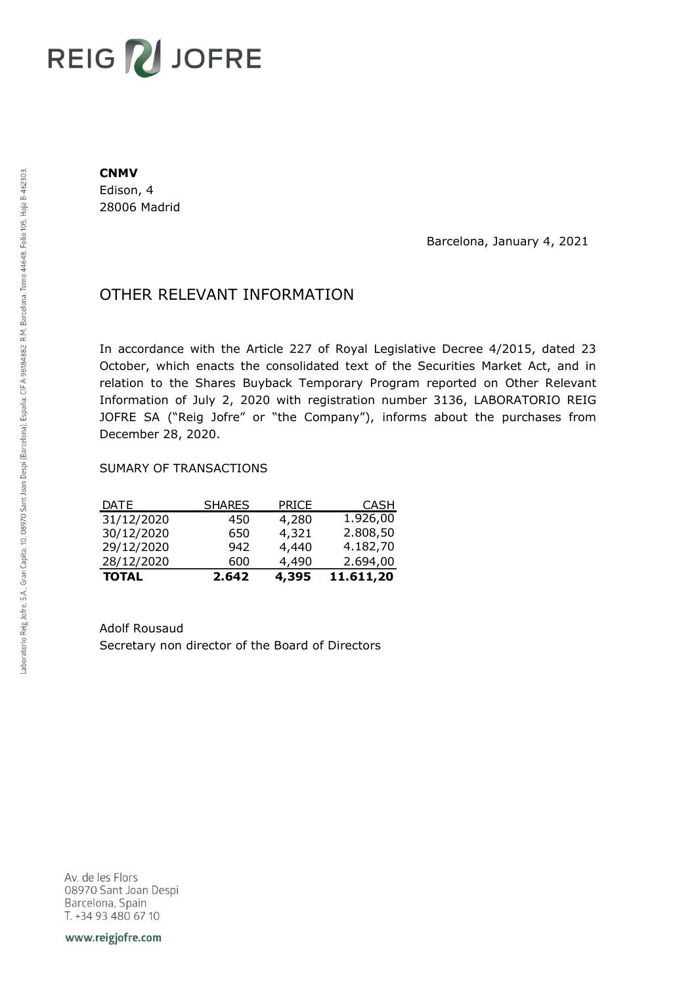## **REIG ZU JOFRE**

## **CNMV**

Edison, 4 28006 Madrid

Barcelona, January 4, 2021

## OTHER RELEVANT INFORMATION

In accordance with the Article 227 of Royal Legislative Decree 4/2015, dated 23 October, which enacts the consolidated text of the Securities Market Act, and in relation to the Shares Buyback Temporary Program reported on Other Relevant Information of July 2, 2020 with registration number 3136, LABORATORIO REIG JOFRE SA ("Reig Jofre" or "the Company"), informs about the purchases from December 28, 2020.

## SUMARY OF TRANSACTIONS

| <b>DATE</b>  | <b>SHARES</b> | <b>PRICE</b> | <b>CASH</b> |
|--------------|---------------|--------------|-------------|
| 31/12/2020   | 450           | 4,280        | 1.926,00    |
| 30/12/2020   | 650           | 4,321        | 2.808,50    |
| 29/12/2020   | 942           | 4,440        | 4.182,70    |
| 28/12/2020   | 600           | 4,490        | 2.694,00    |
| <b>TOTAL</b> | 2.642         | 4,395        | 11.611,20   |

Adolf Rousaud Secretary non director of the Board of Directors

Av. de les Flors 08970 Sant Joan Despi Barcelona, Spain T. +34 93 480 67 10

www.reigjofre.com